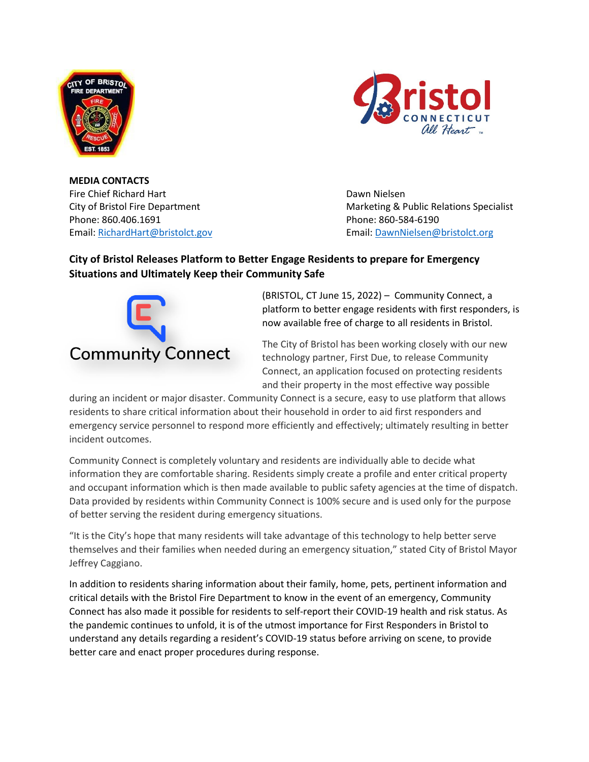



**MEDIA CONTACTS** Fire Chief Richard Hart Dawn Nielsen Phone: 860.406.1691 Phone: 860-584-6190

City of Bristol Fire Department Marketing & Public Relations Specialist Email: [RichardHart@bristolct.gov](mailto:RichardHart@bristolct.gov) Email: [DawnNielsen@bristolct.org](mailto:DawnNielsen@bristolct.org)

## **City of Bristol Releases Platform to Better Engage Residents to prepare for Emergency Situations and Ultimately Keep their Community Safe**



(BRISTOL, CT June 15, 2022) – Community Connect, a platform to better engage residents with first responders, is now available free of charge to all residents in Bristol.

The City of Bristol has been working closely with our new technology partner, First Due, to release Community Connect, an application focused on protecting residents and their property in the most effective way possible

during an incident or major disaster. Community Connect is a secure, easy to use platform that allows residents to share critical information about their household in order to aid first responders and emergency service personnel to respond more efficiently and effectively; ultimately resulting in better incident outcomes.

Community Connect is completely voluntary and residents are individually able to decide what information they are comfortable sharing. Residents simply create a profile and enter critical property and occupant information which is then made available to public safety agencies at the time of dispatch. Data provided by residents within Community Connect is 100% secure and is used only for the purpose of better serving the resident during emergency situations.

"It is the City's hope that many residents will take advantage of this technology to help better serve themselves and their families when needed during an emergency situation," stated City of Bristol Mayor Jeffrey Caggiano.

In addition to residents sharing information about their family, home, pets, pertinent information and critical details with the Bristol Fire Department to know in the event of an emergency, Community Connect has also made it possible for residents to self-report their COVID-19 health and risk status. As the pandemic continues to unfold, it is of the utmost importance for First Responders in Bristol to understand any details regarding a resident's COVID-19 status before arriving on scene, to provide better care and enact proper procedures during response.